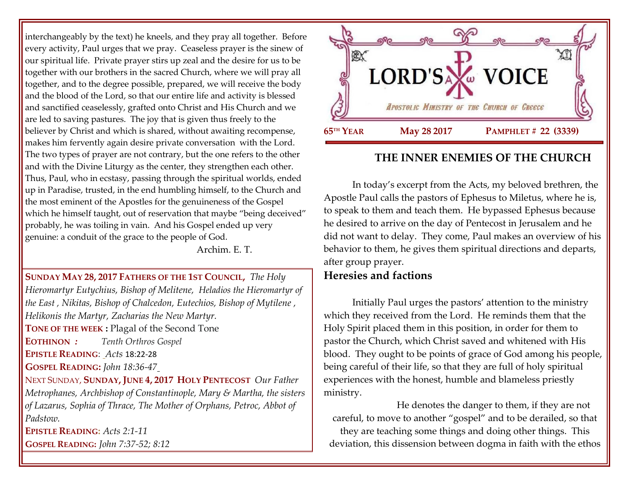interchangeably by the text) he kneels, and they pray all together. Before every activity, Paul urges that we pray. Ceaseless prayer is the sinew of our spiritual life. Private prayer stirs up zeal and the desire for us to be together with our brothers in the sacred Church, where we will pray all together, and to the degree possible, prepared, we will receive the body and the blood of the Lord, so that our entire life and activity is blessed and sanctified ceaselessly, grafted onto Christ and His Church and we are led to saving pastures. The joy that is given thus freely to the believer by Christ and which is shared, without awaiting recompense, makes him fervently again desire private conversation with the Lord. The two types of prayer are not contrary, but the one refers to the other and with the Divine Liturgy as the center, they strengthen each other. Thus, Paul, who in ecstasy, passing through the spiritual worlds, ended up in Paradise, trusted, in the end humbling himself, to the Church and the most eminent of the Apostles for the genuineness of the Gospel which he himself taught, out of reservation that maybe "being deceived" probably, he was toiling in vain. And his Gospel ended up very genuine: a conduit of the grace to the people of God.

Archim. E. T.

**SUNDAY MAY 28, 2017 F[ATHERS OF THE](https://www.goarch.org/chapel/saints?contentid=940&PCode=6PS&D=S&date=5/28/2017) 1ST COUNCIL,** *[The Holy](https://www.goarch.org/chapel/saints?contentid=69)  [Hieromartyr Eutychius, Bishop of Melitene,](https://www.goarch.org/chapel/saints?contentid=69) Heladios the Hieromartyr of the East , Nikitas, Bishop of Chalcedon, [Eutechios, Bishop of Mytilene](https://www.goarch.org/chapel/saints?contentid=2124) , Helikonis the Martyr, Zacharias the New Martyr.* **TONE OF THE WEEK :** Plagal of the Second Tone **EOTHINON** *: Tenth Orthros Gospel* **EPISTLE READING**: *Acts* [18:22-28](https://www.goarch.org/chapel/lectionary?type=epistle&code=33&event=62&date=5/21/2017) **GOSPEL READING:** *[John 18:36-47](https://www.goarch.org/chapel/lectionary?type=gospel&code=36&event=912&date=5/21/2017)* NEXT SUNDAY, **SUNDAY, JUNE 4, 2017 HOLY P[ENTECOST](https://www.goarch.org/chapel/saints?contentid=961&PCode=7PS&D=S&date=6/4/2017)** *Our Father Metrophanes, Archbishop of Constantinople, Mary & Martha, the sisters of Lazarus, Sophia of Thrace, The Mother of Orphans, Petroc, Abbot of Padstow.* **EPISTLE READING:** *[Acts 2:1-11](https://www.goarch.org/chapel/lectionary?type=epistle&code=27&event=940&date=5/28/2017)*

**GOSPEL READING:** *[John 7:37-52; 8:12](https://www.goarch.org/chapel/lectionary?type=gospel&code=43&event=940&date=5/28/2017)* 



# **THE INNER ENEMIES OF THE CHURCH**

In today's excerpt from the Acts, my beloved brethren, the Apostle Paul calls the pastors of Ephesus to Miletus, where he is, to speak to them and teach them. He bypassed Ephesus because he desired to arrive on the day of Pentecost in Jerusalem and he did not want to delay. They come, Paul makes an overview of his behavior to them, he gives them spiritual directions and departs, after group prayer.

## **Heresies and factions**

Initially Paul urges the pastors' attention to the ministry which they received from the Lord. He reminds them that the Holy Spirit placed them in this position, in order for them to pastor the Church, which Christ saved and whitened with His blood. They ought to be points of grace of God among his people, being careful of their life, so that they are full of holy spiritual experiences with the honest, humble and blameless priestly ministry.

He denotes the danger to them, if they are not careful, to move to another "gospel" and to be derailed, so that they are teaching some things and doing other things. This deviation, this dissension between dogma in faith with the ethos